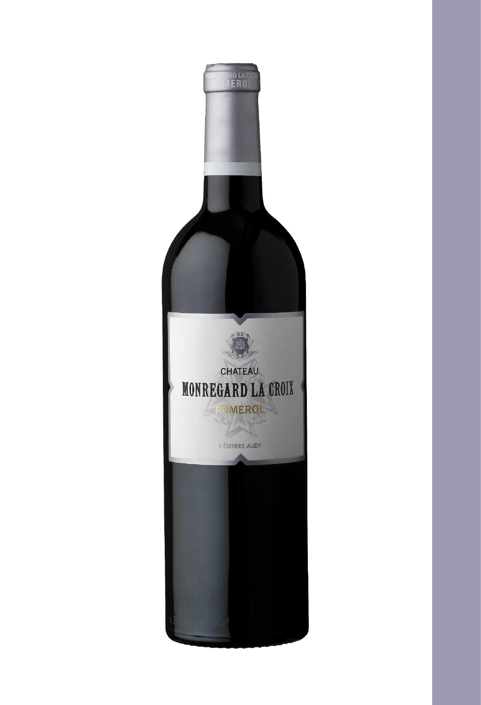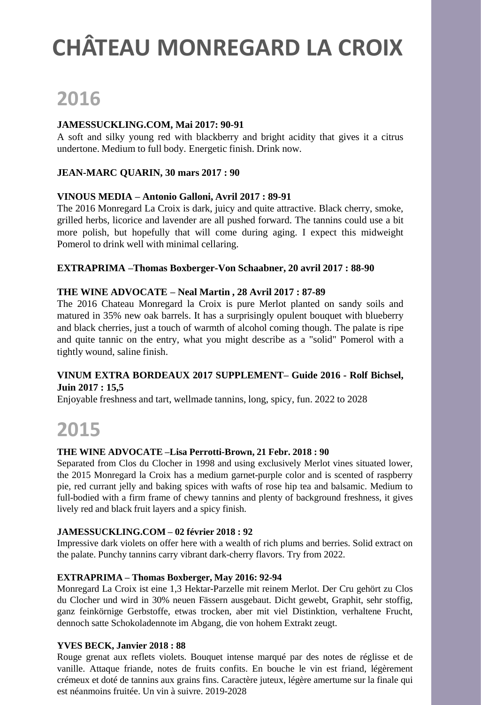# **2016**

### **JAMESSUCKLING.COM, Mai 2017: 90-91**

A soft and silky young red with blackberry and bright acidity that gives it a citrus undertone. Medium to full body. Energetic finish. Drink now.

### **JEAN-MARC QUARIN, 30 mars 2017 : 90**

### **VINOUS MEDIA – Antonio Galloni, Avril 2017 : 89-91**

The 2016 Monregard La Croix is dark, juicy and quite attractive. Black cherry, smoke, grilled herbs, licorice and lavender are all pushed forward. The tannins could use a bit more polish, but hopefully that will come during aging. I expect this midweight Pomerol to drink well with minimal cellaring.

#### **EXTRAPRIMA –Thomas Boxberger-Von Schaabner, 20 avril 2017 : 88-90**

#### **THE WINE ADVOCATE – Neal Martin , 28 Avril 2017 : 87-89**

The 2016 Chateau Monregard la Croix is pure Merlot planted on sandy soils and matured in 35% new oak barrels. It has a surprisingly opulent bouquet with blueberry and black cherries, just a touch of warmth of alcohol coming though. The palate is ripe and quite tannic on the entry, what you might describe as a "solid" Pomerol with a tightly wound, saline finish.

### **VINUM EXTRA BORDEAUX 2017 SUPPLEMENT– Guide 2016 - Rolf Bichsel, Juin 2017 : 15,5**

Enjoyable freshness and tart, wellmade tannins, long, spicy, fun. 2022 to 2028

## **2015**

#### **THE WINE ADVOCATE –Lisa Perrotti-Brown, 21 Febr. 2018 : 90**

Separated from Clos du Clocher in 1998 and using exclusively Merlot vines situated lower, the 2015 Monregard la Croix has a medium garnet-purple color and is scented of raspberry pie, red currant jelly and baking spices with wafts of rose hip tea and balsamic. Medium to full-bodied with a firm frame of chewy tannins and plenty of background freshness, it gives lively red and black fruit layers and a spicy finish.

#### **JAMESSUCKLING.COM – 02 février 2018 : 92**

Impressive dark violets on offer here with a wealth of rich plums and berries. Solid extract on the palate. Punchy tannins carry vibrant dark-cherry flavors. Try from 2022.

#### **EXTRAPRIMA – Thomas Boxberger, May 2016: 92-94**

Monregard La Croix ist eine 1,3 Hektar-Parzelle mit reinem Merlot. Der Cru gehört zu Clos du Clocher und wird in 30% neuen Fässern ausgebaut. Dicht gewebt, Graphit, sehr stoffig, ganz feinkörnige Gerbstoffe, etwas trocken, aber mit viel Distinktion, verhaltene Frucht, dennoch satte Schokoladennote im Abgang, die von hohem Extrakt zeugt.

#### **YVES BECK, Janvier 2018 : 88**

Rouge grenat aux reflets violets. Bouquet intense marqué par des notes de réglisse et de vanille. Attaque friande, notes de fruits confits. En bouche le vin est friand, légèrement crémeux et doté de tannins aux grains fins. Caractère juteux, légère amertume sur la finale qui est néanmoins fruitée. Un vin à suivre. 2019-2028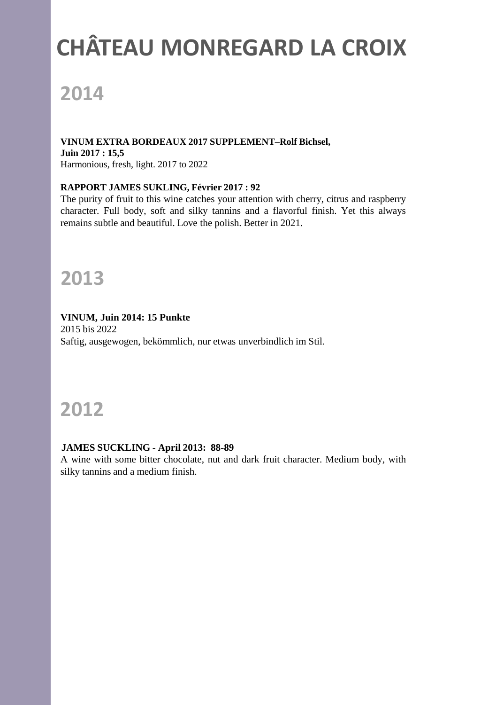# **2014**

**VINUM EXTRA BORDEAUX 2017 SUPPLEMENT–Rolf Bichsel, Juin 2017 : 15,5** Harmonious, fresh, light. 2017 to 2022

### **RAPPORT JAMES SUKLING, Février 2017 : 92**

The purity of fruit to this wine catches your attention with cherry, citrus and raspberry character. Full body, soft and silky tannins and a flavorful finish. Yet this always remains subtle and beautiful. Love the polish. Better in 2021.

## **2013**

### **VINUM, Juin 2014: 15 Punkte**

2015 bis 2022 Saftig, ausgewogen, bekömmlich, nur etwas unverbindlich im Stil.

## **2012**

#### **JAMES SUCKLING - April 2013: 88-89**

A wine with some bitter chocolate, nut and dark fruit character. Medium body, with silky tannins and a medium finish.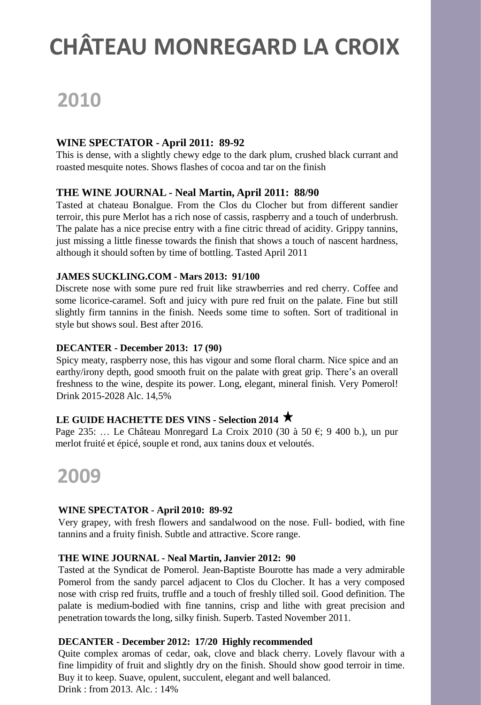# **2010**

### **WINE SPECTATOR - April 2011: 89-92**

This is dense, with a slightly chewy edge to the dark plum, crushed black currant and roasted mesquite notes. Shows flashes of cocoa and tar on the finish

### **THE WINE JOURNAL - Neal Martin, April 2011: 88/90**

Tasted at chateau Bonalgue. From the Clos du Clocher but from different sandier terroir, this pure Merlot has a rich nose of cassis, raspberry and a touch of underbrush. The palate has a nice precise entry with a fine citric thread of acidity. Grippy tannins, just missing a little finesse towards the finish that shows a touch of nascent hardness, although it should soften by time of bottling. Tasted April 2011

### **JAMES SUCKLING.COM - Mars 2013: 91/100**

Discrete nose with some pure red fruit like strawberries and red cherry. Coffee and some licorice-caramel. Soft and juicy with pure red fruit on the palate. Fine but still slightly firm tannins in the finish. Needs some time to soften. Sort of traditional in style but shows soul. Best after 2016.

### **DECANTER - December 2013: 17 (90)**

Spicy meaty, raspberry nose, this has vigour and some floral charm. Nice spice and an earthy/irony depth, good smooth fruit on the palate with great grip. There's an overall freshness to the wine, despite its power. Long, elegant, mineral finish. Very Pomerol! Drink 2015-2028 Alc. 14,5%

### **LE GUIDE HACHETTE DES VINS - Selection 2014**

Page 235: … Le Château Monregard La Croix 2010 (30 à 50 €; 9 400 b.), un pur merlot fruité et épicé, souple et rond, aux tanins doux et veloutés.

### **2009**

### **WINE SPECTATOR - April 2010: 89-92**

Very grapey, with fresh flowers and sandalwood on the nose. Full- bodied, with fine tannins and a fruity finish. Subtle and attractive. Score range.

### **THE WINE JOURNAL - Neal Martin, Janvier 2012: 90**

Tasted at the Syndicat de Pomerol. Jean-Baptiste Bourotte has made a very admirable Pomerol from the sandy parcel adjacent to Clos du Clocher. It has a very composed nose with crisp red fruits, truffle and a touch of freshly tilled soil. Good definition. The palate is medium-bodied with fine tannins, crisp and lithe with great precision and penetration towards the long, silky finish. Superb. Tasted November 2011.

### **DECANTER - December 2012: 17/20 Highly recommended**

Quite complex aromas of cedar, oak, clove and black cherry. Lovely flavour with a fine limpidity of fruit and slightly dry on the finish. Should show good terroir in time. Buy it to keep. Suave, opulent, succulent, elegant and well balanced. Drink : from 2013. Alc. : 14%